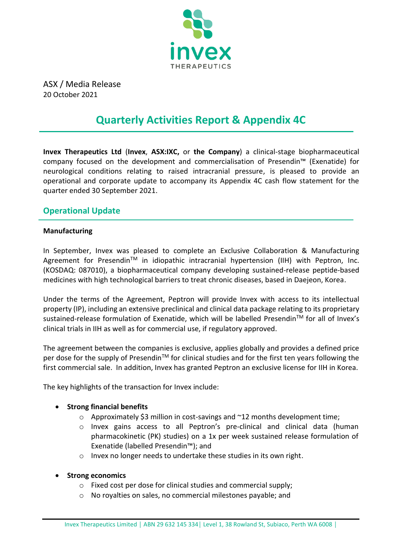

ASX / Media Release 20 October 2021

# **Quarterly Activities Report & Appendix 4C**

**Invex Therapeutics Ltd** (**Invex**, **ASX:IXC,** or **the Company**) a clinical-stage biopharmaceutical company focused on the development and commercialisation of Presendin™ (Exenatide) for neurological conditions relating to raised intracranial pressure, is pleased to provide an operational and corporate update to accompany its Appendix 4C cash flow statement for the quarter ended 30 September 2021.

### **Operational Update**

#### **Manufacturing**

In September, Invex was pleased to complete an Exclusive Collaboration & Manufacturing Agreement for Presendin™ in idiopathic intracranial hypertension (IIH) with Peptron, Inc. (KOSDAQ: 087010), a biopharmaceutical company developing sustained-release peptide-based medicines with high technological barriers to treat chronic diseases, based in Daejeon, Korea.

Under the terms of the Agreement, Peptron will provide Invex with access to its intellectual property (IP), including an extensive preclinical and clinical data package relating to its proprietary sustained-release formulation of Exenatide, which will be labelled Presendin™ for all of Invex's clinical trials in IIH as well as for commercial use, if regulatory approved.

The agreement between the companies is exclusive, applies globally and provides a defined price per dose for the supply of Presendin™ for clinical studies and for the first ten years following the first commercial sale. In addition, Invex has granted Peptron an exclusive license for IIH in Korea.

The key highlights of the transaction for Invex include:

#### • **Strong financial benefits**

- $\circ$  Approximately \$3 million in cost-savings and  $\sim$ 12 months development time;
- o Invex gains access to all Peptron's pre-clinical and clinical data (human pharmacokinetic (PK) studies) on a 1x per week sustained release formulation of Exenatide (labelled Presendin™); and
- o Invex no longer needs to undertake these studies in its own right.
- **Strong economics**
	- o Fixed cost per dose for clinical studies and commercial supply;
	- o No royalties on sales, no commercial milestones payable; and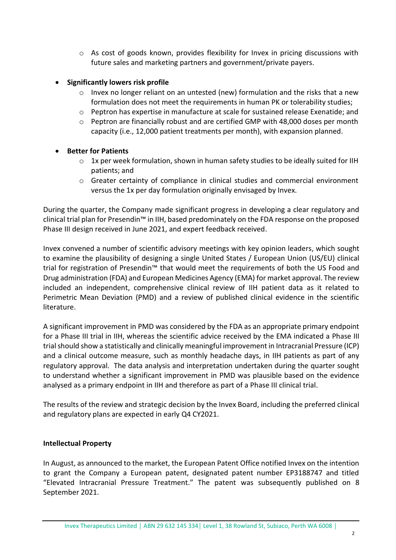$\circ$  As cost of goods known, provides flexibility for Invex in pricing discussions with future sales and marketing partners and government/private payers.

#### • **Significantly lowers risk profile**

- $\circ$  Invex no longer reliant on an untested (new) formulation and the risks that a new formulation does not meet the requirements in human PK or tolerability studies;
- $\circ$  Peptron has expertise in manufacture at scale for sustained release Exenatide; and
- $\circ$  Peptron are financially robust and are certified GMP with 48,000 doses per month capacity (i.e., 12,000 patient treatments per month), with expansion planned.

### • **Better for Patients**

- $\circ$  1x per week formulation, shown in human safety studies to be ideally suited for IIH patients; and
- $\circ$  Greater certainty of compliance in clinical studies and commercial environment versus the 1x per day formulation originally envisaged by Invex.

During the quarter, the Company made significant progress in developing a clear regulatory and clinical trial plan for Presendin™ in IIH, based predominately on the FDA response on the proposed Phase III design received in June 2021, and expert feedback received.

Invex convened a number of scientific advisory meetings with key opinion leaders, which sought to examine the plausibility of designing a single United States / European Union (US/EU) clinical trial for registration of Presendin™ that would meet the requirements of both the US Food and Drug administration (FDA) and European Medicines Agency (EMA) for market approval. The review included an independent, comprehensive clinical review of IIH patient data as it related to Perimetric Mean Deviation (PMD) and a review of published clinical evidence in the scientific literature.

A significant improvement in PMD was considered by the FDA as an appropriate primary endpoint for a Phase III trial in IIH, whereas the scientific advice received by the EMA indicated a Phase III trial should show a statistically and clinically meaningful improvement in Intracranial Pressure (ICP) and a clinical outcome measure, such as monthly headache days, in IIH patients as part of any regulatory approval. The data analysis and interpretation undertaken during the quarter sought to understand whether a significant improvement in PMD was plausible based on the evidence analysed as a primary endpoint in IIH and therefore as part of a Phase III clinical trial.

The results of the review and strategic decision by the Invex Board, including the preferred clinical and regulatory plans are expected in early Q4 CY2021.

#### **Intellectual Property**

In August, as announced to the market, the European Patent Office notified Invex on the intention to grant the Company a European patent, designated patent number EP3188747 and titled "Elevated Intracranial Pressure Treatment." The patent was subsequently published on 8 September 2021.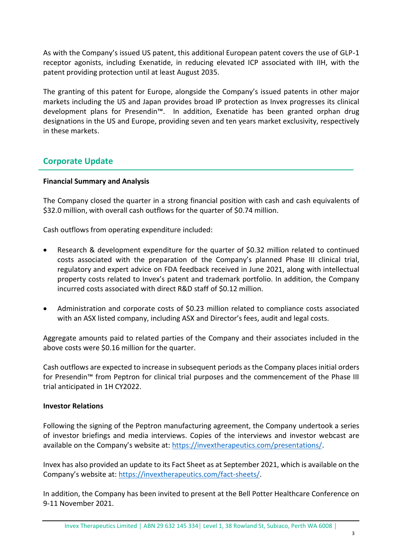As with the Company's issued US patent, this additional European patent covers the use of GLP-1 receptor agonists, including Exenatide, in reducing elevated ICP associated with IIH, with the patent providing protection until at least August 2035.

The granting of this patent for Europe, alongside the Company's issued patents in other major markets including the US and Japan provides broad IP protection as Invex progresses its clinical development plans for Presendin™. In addition, Exenatide has been granted orphan drug designations in the US and Europe, providing seven and ten years market exclusivity, respectively in these markets.

## **Corporate Update**

#### **Financial Summary and Analysis**

The Company closed the quarter in a strong financial position with cash and cash equivalents of \$32.0 million, with overall cash outflows for the quarter of \$0.74 million.

Cash outflows from operating expenditure included:

- Research & development expenditure for the quarter of \$0.32 million related to continued costs associated with the preparation of the Company's planned Phase III clinical trial, regulatory and expert advice on FDA feedback received in June 2021, along with intellectual property costs related to Invex's patent and trademark portfolio. In addition, the Company incurred costs associated with direct R&D staff of \$0.12 million.
- Administration and corporate costs of \$0.23 million related to compliance costs associated with an ASX listed company, including ASX and Director's fees, audit and legal costs.

Aggregate amounts paid to related parties of the Company and their associates included in the above costs were \$0.16 million for the quarter.

Cash outflows are expected to increase in subsequent periods as the Company places initial orders for Presendin™ from Peptron for clinical trial purposes and the commencement of the Phase III trial anticipated in 1H CY2022.

#### **Investor Relations**

Following the signing of the Peptron manufacturing agreement, the Company undertook a series of investor briefings and media interviews. Copies of the interviews and investor webcast are available on the Company's website at: [https://invextherapeutics.com/presentations/.](https://invextherapeutics.com/presentations/)

Invex has also provided an update to its Fact Sheet as at September 2021, which is available on the Company's website at: [https://invextherapeutics.com/fact-sheets/.](https://invextherapeutics.com/fact-sheets/)

In addition, the Company has been invited to present at the Bell Potter Healthcare Conference on 9-11 November 2021.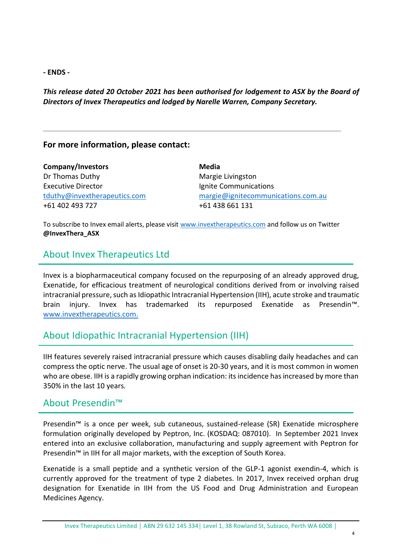**- ENDS -**

*This release dated 20 October 2021 has been authorised for lodgement to ASX by the Board of Directors of Invex Therapeutics and lodged by Narelle Warren, Company Secretary.*

### **For more information, please contact:**

| Company/Investors            | Media                              |
|------------------------------|------------------------------------|
| Dr Thomas Duthy              | Margie Livingston                  |
| <b>Executive Director</b>    | Ignite Communications              |
| tduthy@invextherapeutics.com | margie@ignitecommunications.com.au |
| +61 402 493 727              | +61 438 661 131                    |

To subscribe to Invex email alerts, please visit [www.invextherapeutics.com](http://www.invextherapeutics.com/) and follow us on Twitter **@InvexThera\_ASX**

# About Invex Therapeutics Ltd

Invex is a biopharmaceutical company focused on the repurposing of an already approved drug, Exenatide, for efficacious treatment of neurological conditions derived from or involving raised intracranial pressure, such as Idiopathic Intracranial Hypertension (IIH), acute stroke and traumatic brain injury. Invex has trademarked its repurposed Exenatide as Presendin™. [www.invextherapeutics.com.](http://www.invextherapeutics.com/)

# About Idiopathic Intracranial Hypertension (IIH)

IIH features severely raised intracranial pressure which causes disabling daily headaches and can compress the optic nerve. The usual age of onset is 20-30 years, and it is most common in women who are obese. IIH is a rapidly growing orphan indication: its incidence has increased by more than 350% in the last 10 years.

## About Presendin™

Presendin™ is a once per week, sub cutaneous, sustained-release (SR) Exenatide microsphere formulation originally developed by Peptron, Inc. (KOSDAQ: 087010). In September 2021 Invex entered into an exclusive collaboration, manufacturing and supply agreement with Peptron for Presendin™ in IIH for all major markets, with the exception of South Korea.

Exenatide is a small peptide and a synthetic version of the GLP-1 agonist exendin-4, which is currently approved for the treatment of type 2 diabetes. In 2017, Invex received orphan drug designation for Exenatide in IIH from the US Food and Drug Administration and European Medicines Agency.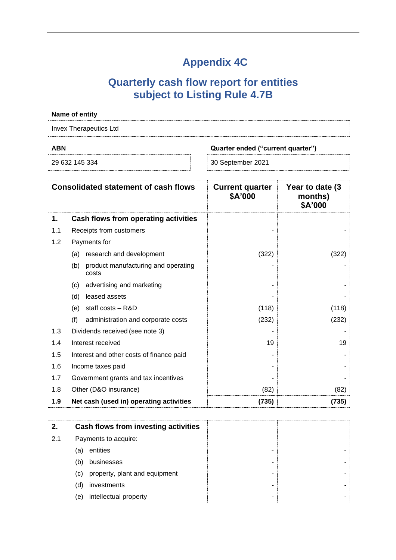# **Appendix 4C**

# **Quarterly cash flow report for entities subject to Listing Rule 4.7B**

|            | Name of entity                                      |                                   |                                        |
|------------|-----------------------------------------------------|-----------------------------------|----------------------------------------|
|            | <b>Invex Therapeutics Ltd</b>                       |                                   |                                        |
| <b>ABN</b> | Quarter ended ("current quarter")                   |                                   |                                        |
|            | 29 632 145 334                                      | 30 September 2021                 |                                        |
|            | <b>Consolidated statement of cash flows</b>         | <b>Current quarter</b><br>\$A'000 | Year to date (3)<br>months)<br>\$A'000 |
| 1.         | Cash flows from operating activities                |                                   |                                        |
| 1.1        | Receipts from customers                             |                                   |                                        |
| 1.2        | Payments for                                        |                                   |                                        |
|            | (a) research and development                        | (322)                             | (322)                                  |
|            | product manufacturing and operating<br>(b)<br>costs |                                   |                                        |
|            | advertising and marketing<br>(c)                    |                                   |                                        |
|            | leased assets<br>(d)                                |                                   |                                        |
|            | (e) staff costs $-$ R&D                             | (118)                             | (118)                                  |
|            | (f)<br>administration and corporate costs           | (232)                             | (232)                                  |
| 1.3        | Dividends received (see note 3)                     |                                   |                                        |
| 1.4        | Interest received                                   | 19                                | 19                                     |
| 1.5        | Interest and other costs of finance paid            |                                   |                                        |
| 1.6        | Income taxes paid                                   |                                   |                                        |
| 1.7        | Government grants and tax incentives                |                                   |                                        |
| 1.8        | Other (D&O insurance)                               | (82)                              | (82)                                   |
| 1.9        | Net cash (used in) operating activities             | (735)                             | (735)                                  |

| 2.  | Cash flows from investing activities |  |
|-----|--------------------------------------|--|
| 2.1 | Payments to acquire:                 |  |
|     | entities<br>(a)                      |  |
|     | businesses<br>(b)                    |  |
|     | property, plant and equipment<br>(c) |  |
|     | investments<br>(d)                   |  |
|     | intellectual property<br>(e)         |  |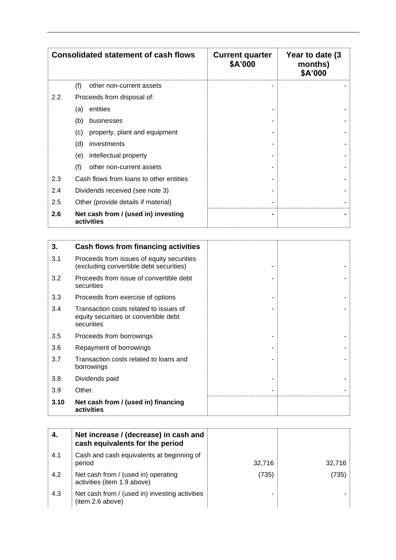| <b>Consolidated statement of cash flows</b> |                                                   | <b>Current quarter</b><br>\$A'000 | Year to date (3)<br>months)<br>\$A'000 |
|---------------------------------------------|---------------------------------------------------|-----------------------------------|----------------------------------------|
|                                             | (f)<br>other non-current assets                   |                                   |                                        |
| $2.2\,$                                     | Proceeds from disposal of:                        |                                   |                                        |
|                                             | entities<br>(a)                                   |                                   |                                        |
|                                             | (b)<br>businesses                                 |                                   |                                        |
|                                             | (c)<br>property, plant and equipment              |                                   |                                        |
|                                             | (d)<br>investments                                |                                   |                                        |
|                                             | intellectual property<br>(e)                      |                                   |                                        |
|                                             | (f)<br>other non-current assets                   |                                   |                                        |
| 2.3                                         | Cash flows from loans to other entities           |                                   |                                        |
| 2.4                                         | Dividends received (see note 3)                   |                                   |                                        |
| 2.5                                         | Other (provide details if material)               |                                   |                                        |
| 2.6                                         | Net cash from / (used in) investing<br>activities |                                   |                                        |

| 3.   | Cash flows from financing activities                                                          |  |
|------|-----------------------------------------------------------------------------------------------|--|
| 3.1  | Proceeds from issues of equity securities<br>(excluding convertible debt securities)          |  |
| 3.2  | Proceeds from issue of convertible debt<br>securities                                         |  |
| 3.3  | Proceeds from exercise of options                                                             |  |
| 3.4  | Transaction costs related to issues of<br>equity securities or convertible debt<br>securities |  |
| 3.5  | Proceeds from borrowings                                                                      |  |
| 3.6  | Repayment of borrowings                                                                       |  |
| 3.7  | Transaction costs related to loans and<br>borrowings                                          |  |
| 3.8  | Dividends paid                                                                                |  |
| 3.9  | Other.                                                                                        |  |
| 3.10 | Net cash from / (used in) financing<br>activities                                             |  |

| 4.  | Net increase / (decrease) in cash and<br>cash equivalents for the period |        |        |
|-----|--------------------------------------------------------------------------|--------|--------|
| 4.1 | Cash and cash equivalents at beginning of<br>period                      | 32,716 | 32.716 |
| 4.2 | Net cash from / (used in) operating<br>activities (item 1.9 above)       | (735)  | (735)  |
| 4.3 | Net cash from / (used in) investing activities<br>(item 2.6 above)       |        |        |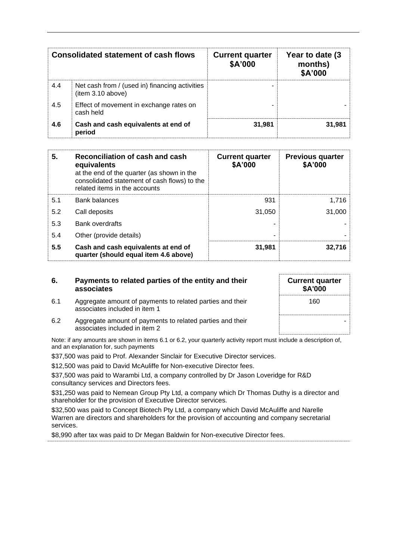|     | <b>Consolidated statement of cash flows</b>                         | <b>Current quarter</b><br>\$A'000 | Year to date (3)<br>months)<br>\$A'000 |
|-----|---------------------------------------------------------------------|-----------------------------------|----------------------------------------|
| 4.4 | Net cash from / (used in) financing activities<br>(item 3.10 above) |                                   |                                        |
| 4.5 | Effect of movement in exchange rates on<br>cash held                |                                   |                                        |
| 4.6 | Cash and cash equivalents at end of<br>period                       | 31,981                            | 31,981                                 |

| 5.  | Reconciliation of cash and cash<br>equivalents<br>at the end of the quarter (as shown in the<br>consolidated statement of cash flows) to the<br>related items in the accounts | <b>Current quarter</b><br>\$A'000 | <b>Previous quarter</b><br>\$A'000 |
|-----|-------------------------------------------------------------------------------------------------------------------------------------------------------------------------------|-----------------------------------|------------------------------------|
| 5.1 | <b>Bank balances</b>                                                                                                                                                          | 931                               | 1,716                              |
| 5.2 | Call deposits                                                                                                                                                                 | 31.050                            | 31,000                             |
| 5.3 | <b>Bank overdrafts</b>                                                                                                                                                        |                                   |                                    |
| 5.4 | Other (provide details)                                                                                                                                                       | -                                 |                                    |
| 5.5 | Cash and cash equivalents at end of<br>quarter (should equal item 4.6 above)                                                                                                  | 31,981                            | 32.716                             |

| 6. | Payments to related parties of the entity and their |
|----|-----------------------------------------------------|
|    | associates                                          |

6.1 Aggregate amount of payments to related parties and their

associates included in item 1

| <b>Current quarter</b><br>\$A'000 |
|-----------------------------------|
| 160                               |
|                                   |

6.2 Aggregate amount of payments to related parties and their associates included in item 2

Note: if any amounts are shown in items 6.1 or 6.2, your quarterly activity report must include a description of, and an explanation for, such payments

\$37,500 was paid to Prof. Alexander Sinclair for Executive Director services.

\$12,500 was paid to David McAuliffe for Non-executive Director fees.

\$37,500 was paid to Warambi Ltd, a company controlled by Dr Jason Loveridge for R&D consultancy services and Directors fees.

\$31,250 was paid to Nemean Group Pty Ltd, a company which Dr Thomas Duthy is a director and shareholder for the provision of Executive Director services.

\$32,500 was paid to Concept Biotech Pty Ltd, a company which David McAuliffe and Narelle Warren are directors and shareholders for the provision of accounting and company secretarial services.

\$8,990 after tax was paid to Dr Megan Baldwin for Non-executive Director fees.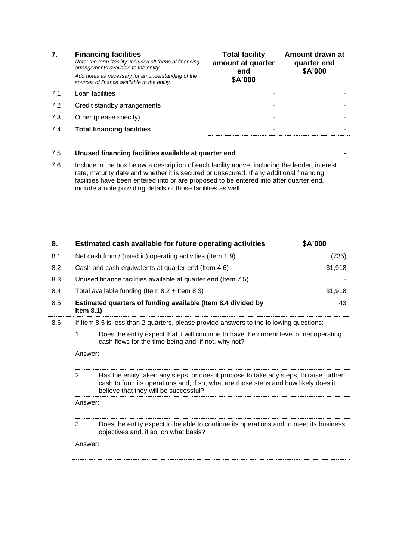### **7. Financing facilities**

*Note: the term "facility' includes all forms of financing arrangements available to the entity. Add notes as necessary for an understanding of the sources of finance available to the entity.*

- 7.1 Loan facilities
- 7.2 Credit standby arrangements
- 7.3 Other (please specify)
- 7.4 **Total financing facilities** -

| <b>Total facility</b><br>amount at quarter<br>end<br>\$A'000 | Amount drawn at<br>quarter end<br>\$A'000 |
|--------------------------------------------------------------|-------------------------------------------|
|                                                              |                                           |
|                                                              |                                           |
|                                                              |                                           |

#### 7.5 **Unused financing facilities available at quarter end** -

7.6 Include in the box below a description of each facility above, including the lender, interest rate, maturity date and whether it is secured or unsecured. If any additional financing facilities have been entered into or are proposed to be entered into after quarter end, include a note providing details of those facilities as well.

| 8.  | Estimated cash available for future operating activities                     | \$A'000 |
|-----|------------------------------------------------------------------------------|---------|
| 8.1 | Net cash from / (used in) operating activities (Item 1.9)                    | (735)   |
| 8.2 | Cash and cash equivalents at quarter end (Item 4.6)                          | 31,918  |
| 8.3 | Unused finance facilities available at quarter end (Item 7.5)                |         |
| 8.4 | Total available funding (Item $8.2 +$ Item $8.3$ )                           | 31.918  |
| 8.5 | Estimated quarters of funding available (Item 8.4 divided by<br>Item $8.1$ ) | 43      |

- 8.6 If Item 8.5 is less than 2 quarters, please provide answers to the following questions:
	- 1. Does the entity expect that it will continue to have the current level of net operating cash flows for the time being and, if not, why not?

Answer: 2. Has the entity taken any steps, or does it propose to take any steps, to raise further cash to fund its operations and, if so, what are those steps and how likely does it

believe that they will be successful? Answer: 3. Does the entity expect to be able to continue its operations and to meet its business objectives and, if so, on what basis?

Answer: